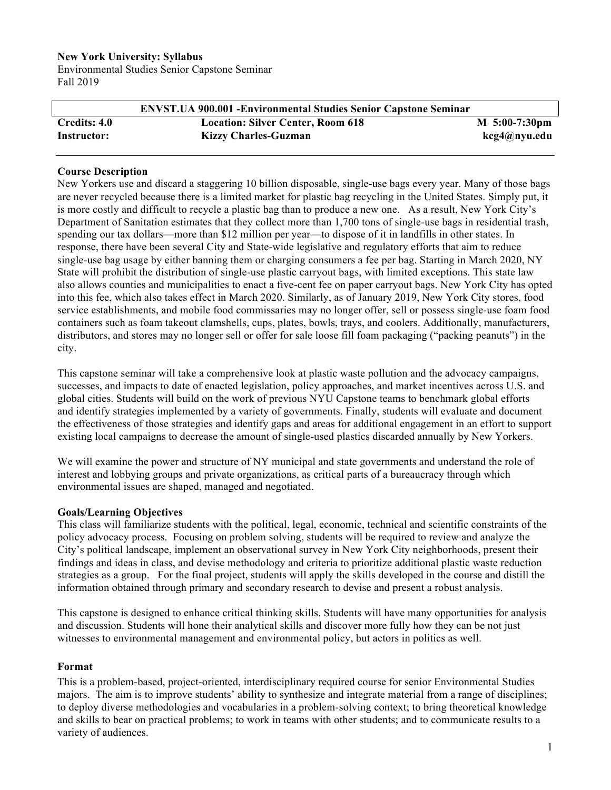#### **New York University: Syllabus**

Environmental Studies Senior Capstone Seminar Fall 2019

|              | <b>ENVST.UA 900.001 - Environmental Studies Senior Capstone Seminar</b> |                   |
|--------------|-------------------------------------------------------------------------|-------------------|
| Credits: 4.0 | <b>Location: Silver Center, Room 618</b>                                | $M_{5:00-7:30pm}$ |
| Instructor:  | <b>Kizzy Charles-Guzman</b>                                             | kcg4@nyu.edu      |

#### **Course Description**

New Yorkers use and discard a staggering 10 billion disposable, single-use bags every year. Many of those bags are never recycled because there is a limited market for plastic bag recycling in the United States. Simply put, it is more costly and difficult to recycle a plastic bag than to produce a new one. As a result, New York City's Department of Sanitation estimates that they collect more than 1,700 tons of single-use bags in residential trash, spending our tax dollars—more than \$12 million per year—to dispose of it in landfills in other states. In response, there have been several City and State-wide legislative and regulatory efforts that aim to reduce single-use bag usage by either banning them or charging consumers a fee per bag. Starting in March 2020, NY State will prohibit the distribution of single-use plastic carryout bags, with limited exceptions. This state law also allows counties and municipalities to enact a five-cent fee on paper carryout bags. New York City has opted into this fee, which also takes effect in March 2020. Similarly, as of January 2019, New York City stores, food service establishments, and mobile food commissaries may no longer offer, sell or possess single-use foam food containers such as foam takeout clamshells, cups, plates, bowls, trays, and coolers. Additionally, manufacturers, distributors, and stores may no longer sell or offer for sale loose fill foam packaging ("packing peanuts") in the city.

This capstone seminar will take a comprehensive look at plastic waste pollution and the advocacy campaigns, successes, and impacts to date of enacted legislation, policy approaches, and market incentives across U.S. and global cities. Students will build on the work of previous NYU Capstone teams to benchmark global efforts and identify strategies implemented by a variety of governments. Finally, students will evaluate and document the effectiveness of those strategies and identify gaps and areas for additional engagement in an effort to support existing local campaigns to decrease the amount of single-used plastics discarded annually by New Yorkers.

We will examine the power and structure of NY municipal and state governments and understand the role of interest and lobbying groups and private organizations, as critical parts of a bureaucracy through which environmental issues are shaped, managed and negotiated.

#### **Goals/Learning Objectives**

This class will familiarize students with the political, legal, economic, technical and scientific constraints of the policy advocacy process. Focusing on problem solving, students will be required to review and analyze the City's political landscape, implement an observational survey in New York City neighborhoods, present their findings and ideas in class, and devise methodology and criteria to prioritize additional plastic waste reduction strategies as a group. For the final project, students will apply the skills developed in the course and distill the information obtained through primary and secondary research to devise and present a robust analysis.

This capstone is designed to enhance critical thinking skills. Students will have many opportunities for analysis and discussion. Students will hone their analytical skills and discover more fully how they can be not just witnesses to environmental management and environmental policy, but actors in politics as well.

#### **Format**

This is a problem-based, project-oriented, interdisciplinary required course for senior Environmental Studies majors. The aim is to improve students' ability to synthesize and integrate material from a range of disciplines; to deploy diverse methodologies and vocabularies in a problem-solving context; to bring theoretical knowledge and skills to bear on practical problems; to work in teams with other students; and to communicate results to a variety of audiences.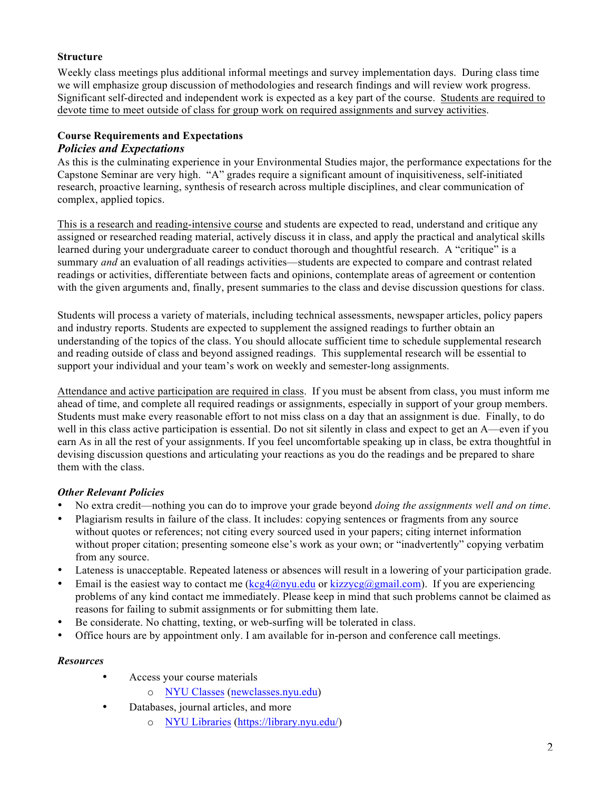## **Structure**

Weekly class meetings plus additional informal meetings and survey implementation days. During class time we will emphasize group discussion of methodologies and research findings and will review work progress. Significant self-directed and independent work is expected as a key part of the course. Students are required to devote time to meet outside of class for group work on required assignments and survey activities.

#### **Course Requirements and Expectations** *Policies and Expectations*

As this is the culminating experience in your Environmental Studies major, the performance expectations for the Capstone Seminar are very high. "A" grades require a significant amount of inquisitiveness, self-initiated research, proactive learning, synthesis of research across multiple disciplines, and clear communication of complex, applied topics.

This is a research and reading-intensive course and students are expected to read, understand and critique any assigned or researched reading material, actively discuss it in class, and apply the practical and analytical skills learned during your undergraduate career to conduct thorough and thoughtful research. A "critique" is a summary *and* an evaluation of all readings activities—students are expected to compare and contrast related readings or activities, differentiate between facts and opinions, contemplate areas of agreement or contention with the given arguments and, finally, present summaries to the class and devise discussion questions for class.

Students will process a variety of materials, including technical assessments, newspaper articles, policy papers and industry reports. Students are expected to supplement the assigned readings to further obtain an understanding of the topics of the class. You should allocate sufficient time to schedule supplemental research and reading outside of class and beyond assigned readings. This supplemental research will be essential to support your individual and your team's work on weekly and semester-long assignments.

Attendance and active participation are required in class. If you must be absent from class, you must inform me ahead of time, and complete all required readings or assignments, especially in support of your group members. Students must make every reasonable effort to not miss class on a day that an assignment is due. Finally, to do well in this class active participation is essential. Do not sit silently in class and expect to get an A—even if you earn As in all the rest of your assignments. If you feel uncomfortable speaking up in class, be extra thoughtful in devising discussion questions and articulating your reactions as you do the readings and be prepared to share them with the class.

## *Other Relevant Policies*

- No extra credit—nothing you can do to improve your grade beyond *doing the assignments well and on time*.
- Plagiarism results in failure of the class. It includes: copying sentences or fragments from any source without quotes or references; not citing every sourced used in your papers; citing internet information without proper citation; presenting someone else's work as your own; or "inadvertently" copying verbatim from any source.
- Lateness is unacceptable. Repeated lateness or absences will result in a lowering of your participation grade.
- Email is the easiest way to contact me  $(\text{keg4@nyu.edu or kizzveg@gmail.com})$ . If you are experiencing problems of any kind contact me immediately. Please keep in mind that such problems cannot be claimed as reasons for failing to submit assignments or for submitting them late.
- Be considerate. No chatting, texting, or web-surfing will be tolerated in class.
- Office hours are by appointment only. I am available for in-person and conference call meetings.

### *Resources*

- Access your course materials
	- o NYU Classes (newclasses.nyu.edu)
- Databases, journal articles, and more
	- o NYU Libraries (https://library.nyu.edu/)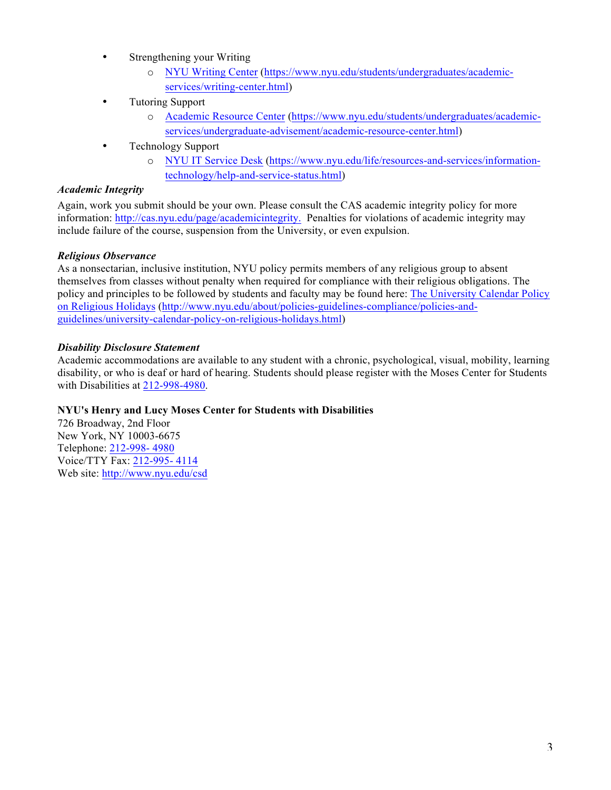- Strengthening your Writing
	- o NYU Writing Center (https://www.nyu.edu/students/undergraduates/academicservices/writing-center.html)
- Tutoring Support
	- o Academic Resource Center (https://www.nyu.edu/students/undergraduates/academicservices/undergraduate-advisement/academic-resource-center.html)
- Technology Support
	- o NYU IT Service Desk (https://www.nyu.edu/life/resources-and-services/informationtechnology/help-and-service-status.html)

#### *Academic Integrity*

Again, work you submit should be your own. Please consult the CAS academic integrity policy for more information: http://cas.nyu.edu/page/academicintegrity. Penalties for violations of academic integrity may include failure of the course, suspension from the University, or even expulsion.

#### *Religious Observance*

As a nonsectarian, inclusive institution, NYU policy permits members of any religious group to absent themselves from classes without penalty when required for compliance with their religious obligations. The policy and principles to be followed by students and faculty may be found here: The University Calendar Policy on Religious Holidays (http://www.nyu.edu/about/policies-guidelines-compliance/policies-andguidelines/university-calendar-policy-on-religious-holidays.html)

#### *Disability Disclosure Statement*

Academic accommodations are available to any student with a chronic, psychological, visual, mobility, learning disability, or who is deaf or hard of hearing. Students should please register with the Moses Center for Students with Disabilities at 212-998-4980.

#### **NYU's Henry and Lucy Moses Center for Students with Disabilities**

726 Broadway, 2nd Floor New York, NY 10003-6675 Telephone: 212-998- 4980 Voice/TTY Fax: 212-995- 4114 Web site: http://www.nyu.edu/csd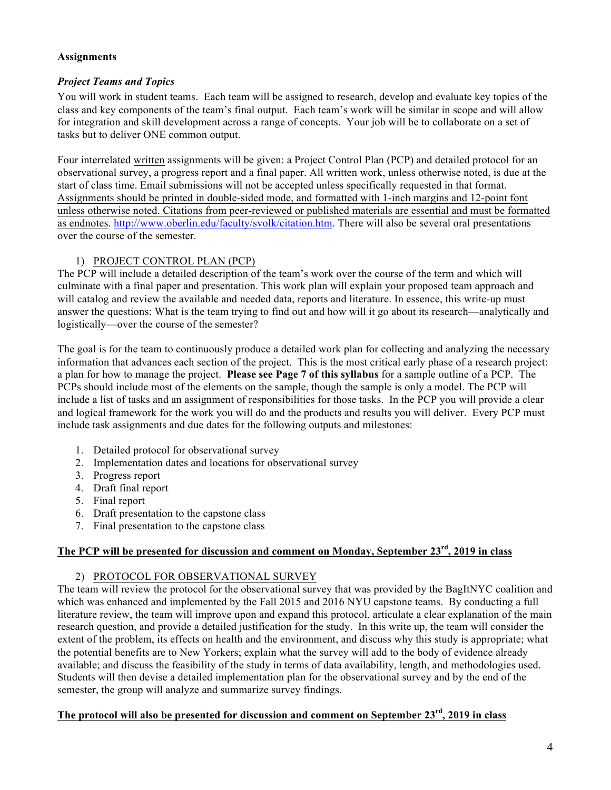#### **Assignments**

### *Project Teams and Topics*

You will work in student teams. Each team will be assigned to research, develop and evaluate key topics of the class and key components of the team's final output. Each team's work will be similar in scope and will allow for integration and skill development across a range of concepts. Your job will be to collaborate on a set of tasks but to deliver ONE common output.

Four interrelated written assignments will be given: a Project Control Plan (PCP) and detailed protocol for an observational survey, a progress report and a final paper. All written work, unless otherwise noted, is due at the start of class time. Email submissions will not be accepted unless specifically requested in that format. Assignments should be printed in double-sided mode, and formatted with 1-inch margins and 12-point font unless otherwise noted. Citations from peer-reviewed or published materials are essential and must be formatted as endnotes. http://www.oberlin.edu/faculty/svolk/citation.htm. There will also be several oral presentations over the course of the semester.

### 1) PROJECT CONTROL PLAN (PCP)

The PCP will include a detailed description of the team's work over the course of the term and which will culminate with a final paper and presentation. This work plan will explain your proposed team approach and will catalog and review the available and needed data, reports and literature. In essence, this write-up must answer the questions: What is the team trying to find out and how will it go about its research—analytically and logistically—over the course of the semester?

The goal is for the team to continuously produce a detailed work plan for collecting and analyzing the necessary information that advances each section of the project. This is the most critical early phase of a research project: a plan for how to manage the project. **Please see Page 7 of this syllabus** for a sample outline of a PCP. The PCPs should include most of the elements on the sample, though the sample is only a model. The PCP will include a list of tasks and an assignment of responsibilities for those tasks. In the PCP you will provide a clear and logical framework for the work you will do and the products and results you will deliver. Every PCP must include task assignments and due dates for the following outputs and milestones:

- 1. Detailed protocol for observational survey
- 2. Implementation dates and locations for observational survey
- 3. Progress report
- 4. Draft final report
- 5. Final report
- 6. Draft presentation to the capstone class
- 7. Final presentation to the capstone class

### **The PCP will be presented for discussion and comment on Monday, September 23rd, 2019 in class**

### 2) PROTOCOL FOR OBSERVATIONAL SURVEY

The team will review the protocol for the observational survey that was provided by the BagItNYC coalition and which was enhanced and implemented by the Fall 2015 and 2016 NYU capstone teams. By conducting a full literature review, the team will improve upon and expand this protocol, articulate a clear explanation of the main research question, and provide a detailed justification for the study. In this write up, the team will consider the extent of the problem, its effects on health and the environment, and discuss why this study is appropriate; what the potential benefits are to New Yorkers; explain what the survey will add to the body of evidence already available; and discuss the feasibility of the study in terms of data availability, length, and methodologies used. Students will then devise a detailed implementation plan for the observational survey and by the end of the semester, the group will analyze and summarize survey findings.

## **The protocol will also be presented for discussion and comment on September 23rd, 2019 in class**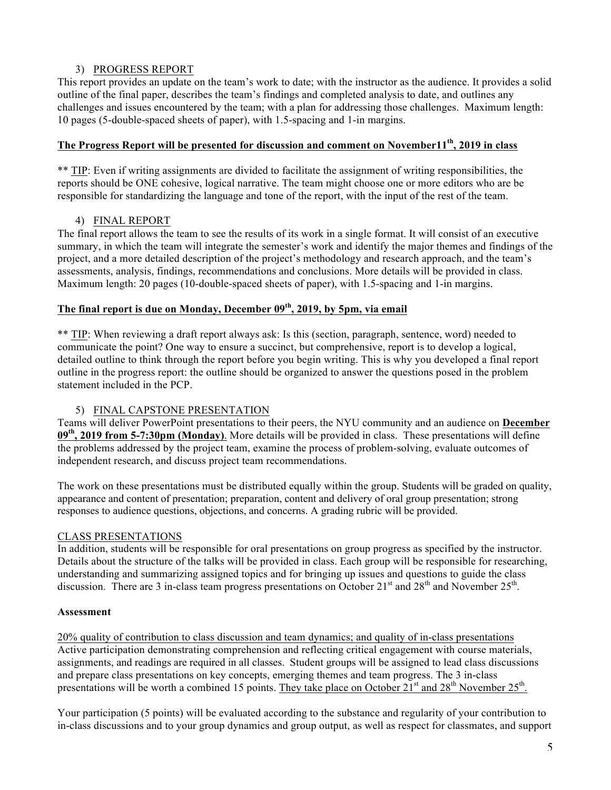### 3) PROGRESS REPORT

This report provides an update on the team's work to date; with the instructor as the audience. It provides a solid outline of the final paper, describes the team's findings and completed analysis to date, and outlines any challenges and issues encountered by the team; with a plan for addressing those challenges. Maximum length: 10 pages (5-double-spaced sheets of paper), with 1.5-spacing and 1-in margins.

## **The Progress Report will be presented for discussion and comment on November11th, 2019 in class**

\*\* TIP: Even if writing assignments are divided to facilitate the assignment of writing responsibilities, the reports should be ONE cohesive, logical narrative. The team might choose one or more editors who are be responsible for standardizing the language and tone of the report, with the input of the rest of the team.

## 4) FINAL REPORT

The final report allows the team to see the results of its work in a single format. It will consist of an executive summary, in which the team will integrate the semester's work and identify the major themes and findings of the project, and a more detailed description of the project's methodology and research approach, and the team's assessments, analysis, findings, recommendations and conclusions. More details will be provided in class. Maximum length: 20 pages (10-double-spaced sheets of paper), with 1.5-spacing and 1-in margins.

## **The final report is due on Monday, December 09th, 2019, by 5pm, via email**

\*\* TIP: When reviewing a draft report always ask: Is this (section, paragraph, sentence, word) needed to communicate the point? One way to ensure a succinct, but comprehensive, report is to develop a logical, detailed outline to think through the report before you begin writing. This is why you developed a final report outline in the progress report: the outline should be organized to answer the questions posed in the problem statement included in the PCP.

## 5) FINAL CAPSTONE PRESENTATION

Teams will deliver PowerPoint presentations to their peers, the NYU community and an audience on **December 09th, 2019 from 5-7:30pm (Monday)**. More details will be provided in class. These presentations will define the problems addressed by the project team, examine the process of problem-solving, evaluate outcomes of independent research, and discuss project team recommendations.

The work on these presentations must be distributed equally within the group. Students will be graded on quality, appearance and content of presentation; preparation, content and delivery of oral group presentation; strong responses to audience questions, objections, and concerns. A grading rubric will be provided.

### CLASS PRESENTATIONS

In addition, students will be responsible for oral presentations on group progress as specified by the instructor. Details about the structure of the talks will be provided in class. Each group will be responsible for researching, understanding and summarizing assigned topics and for bringing up issues and questions to guide the class discussion. There are 3 in-class team progress presentations on October 21<sup>st</sup> and 28<sup>th</sup> and November 25<sup>th</sup>.

### **Assessment**

20% quality of contribution to class discussion and team dynamics; and quality of in-class presentations Active participation demonstrating comprehension and reflecting critical engagement with course materials, assignments, and readings are required in all classes. Student groups will be assigned to lead class discussions and prepare class presentations on key concepts, emerging themes and team progress. The 3 in-class presentations will be worth a combined 15 points. They take place on October  $21^{st}$  and  $28^{th}$  November  $25^{th}$ .

Your participation (5 points) will be evaluated according to the substance and regularity of your contribution to in-class discussions and to your group dynamics and group output, as well as respect for classmates, and support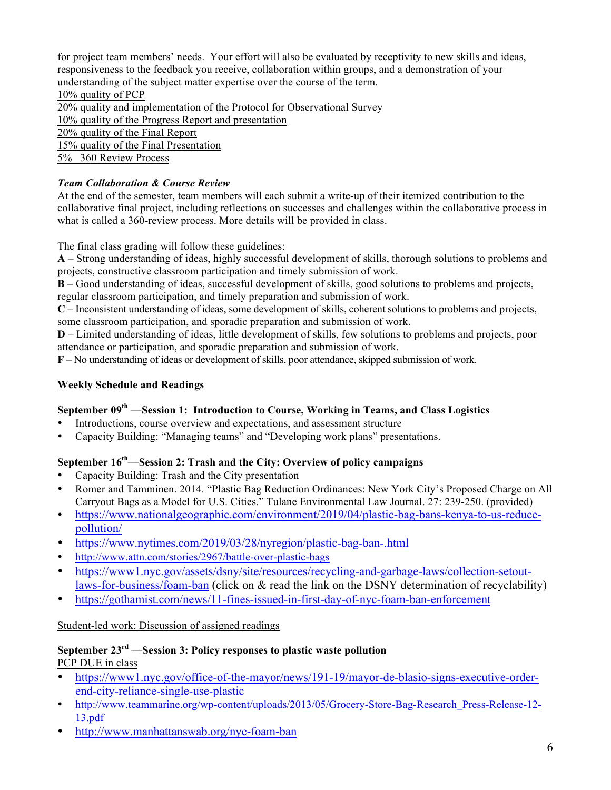for project team members' needs. Your effort will also be evaluated by receptivity to new skills and ideas, responsiveness to the feedback you receive, collaboration within groups, and a demonstration of your understanding of the subject matter expertise over the course of the term.

10% quality of PCP 20% quality and implementation of the Protocol for Observational Survey 10% quality of the Progress Report and presentation 20% quality of the Final Report 15% quality of the Final Presentation 5% 360 Review Process

# *Team Collaboration & Course Review*

At the end of the semester, team members will each submit a write-up of their itemized contribution to the collaborative final project, including reflections on successes and challenges within the collaborative process in what is called a 360-review process. More details will be provided in class.

The final class grading will follow these guidelines:

**A** – Strong understanding of ideas, highly successful development of skills, thorough solutions to problems and projects, constructive classroom participation and timely submission of work.

**B** – Good understanding of ideas, successful development of skills, good solutions to problems and projects, regular classroom participation, and timely preparation and submission of work.

**C** – Inconsistent understanding of ideas, some development of skills, coherent solutions to problems and projects, some classroom participation, and sporadic preparation and submission of work.

**D** – Limited understanding of ideas, little development of skills, few solutions to problems and projects, poor attendance or participation, and sporadic preparation and submission of work.

**F** – No understanding of ideas or development of skills, poor attendance, skipped submission of work.

# **Weekly Schedule and Readings**

# **September 09th —Session 1: Introduction to Course, Working in Teams, and Class Logistics**

- Introductions, course overview and expectations, and assessment structure
- Capacity Building: "Managing teams" and "Developing work plans" presentations.

# **September 16th—Session 2: Trash and the City: Overview of policy campaigns**

- Capacity Building: Trash and the City presentation<br>• Romer and Tamminen 2014 "Plastic Bag Reduction
- Romer and Tamminen. 2014. "Plastic Bag Reduction Ordinances: New York City's Proposed Charge on All Carryout Bags as a Model for U.S. Cities." Tulane Environmental Law Journal. 27: 239-250. (provided)
- https://www.nationalgeographic.com/environment/2019/04/plastic-bag-bans-kenya-to-us-reducepollution/
- https://www.nytimes.com/2019/03/28/nyregion/plastic-bag-ban-.html
- http://www.attn.com/stories/2967/battle-over-plastic-bags
- https://www1.nyc.gov/assets/dsny/site/resources/recycling-and-garbage-laws/collection-setoutlaws-for-business/foam-ban (click on & read the link on the DSNY determination of recyclability)
- https://gothamist.com/news/11-fines-issued-in-first-day-of-nyc-foam-ban-enforcement

## Student-led work: Discussion of assigned readings

#### **September 23rd —Session 3: Policy responses to plastic waste pollution** PCP DUE in class

- https://www1.nyc.gov/office-of-the-mayor/news/191-19/mayor-de-blasio-signs-executive-orderend-city-reliance-single-use-plastic
- http://www.teammarine.org/wp-content/uploads/2013/05/Grocery-Store-Bag-Research\_Press-Release-12-13.pdf
- http://www.manhattanswab.org/nyc-foam-ban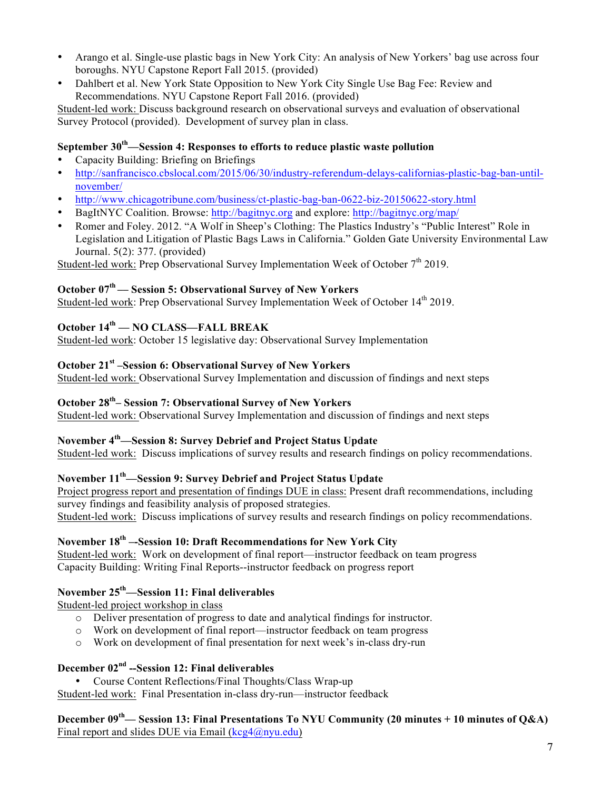- Arango et al. Single-use plastic bags in New York City: An analysis of New Yorkers' bag use across four boroughs. NYU Capstone Report Fall 2015. (provided)
- Dahlbert et al. New York State Opposition to New York City Single Use Bag Fee: Review and Recommendations. NYU Capstone Report Fall 2016. (provided)

Student-led work: Discuss background research on observational surveys and evaluation of observational Survey Protocol (provided). Development of survey plan in class.

### **September 30th—Session 4: Responses to efforts to reduce plastic waste pollution**

- Capacity Building: Briefing on Briefings<br>• http://sanfrancisco.chslocal.com/2015/06
- http://sanfrancisco.cbslocal.com/2015/06/30/industry-referendum-delays-californias-plastic-bag-ban-untilnovember/
- http://www.chicagotribune.com/business/ct-plastic-bag-ban-0622-biz-20150622-story.html
- BagItNYC Coalition. Browse: http://bagitnyc.org and explore: http://bagitnyc.org/map/
- Romer and Foley. 2012. "A Wolf in Sheep's Clothing: The Plastics Industry's "Public Interest" Role in Legislation and Litigation of Plastic Bags Laws in California." Golden Gate University Environmental Law Journal. 5(2): 377. (provided)

Student-led work: Prep Observational Survey Implementation Week of October  $7<sup>th</sup>$  2019.

## **October 07th –– Session 5: Observational Survey of New Yorkers**

Student-led work: Prep Observational Survey Implementation Week of October 14<sup>th</sup> 2019.

# **October 14th — NO CLASS—FALL BREAK**

Student-led work: October 15 legislative day: Observational Survey Implementation

## **October 21st –Session 6: Observational Survey of New Yorkers**

Student-led work: Observational Survey Implementation and discussion of findings and next steps

## **October 28th– Session 7: Observational Survey of New Yorkers**

Student-led work: Observational Survey Implementation and discussion of findings and next steps

## **November 4th—Session 8: Survey Debrief and Project Status Update**

Student-led work: Discuss implications of survey results and research findings on policy recommendations.

# **November 11th—Session 9: Survey Debrief and Project Status Update**

Project progress report and presentation of findings DUE in class: Present draft recommendations, including survey findings and feasibility analysis of proposed strategies.

Student-led work: Discuss implications of survey results and research findings on policy recommendations.

# **November 18th –-Session 10: Draft Recommendations for New York City**

Student-led work: Work on development of final report—instructor feedback on team progress Capacity Building: Writing Final Reports--instructor feedback on progress report

## **November 25th —Session 11: Final deliverables**

Student-led project workshop in class

- o Deliver presentation of progress to date and analytical findings for instructor.
- o Work on development of final report—instructor feedback on team progress
- o Work on development of final presentation for next week's in-class dry-run

# **December 02nd --Session 12: Final deliverables**

• Course Content Reflections/Final Thoughts/Class Wrap-up Student-led work: Final Presentation in-class dry-run—instructor feedback

**December 09th— Session 13: Final Presentations To NYU Community (20 minutes + 10 minutes of Q&A)** Final report and slides DUE via Email  $(\text{keg4@nyu.edu})$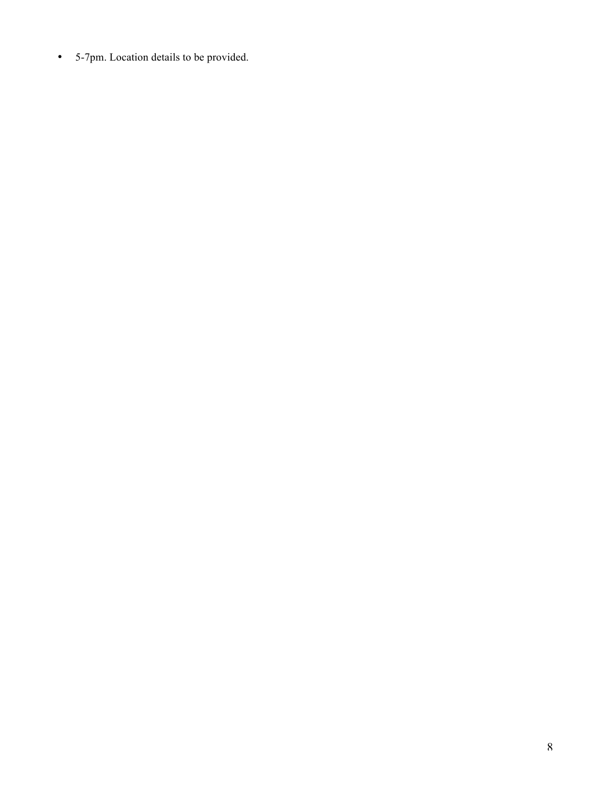• 5-7pm. Location details to be provided.